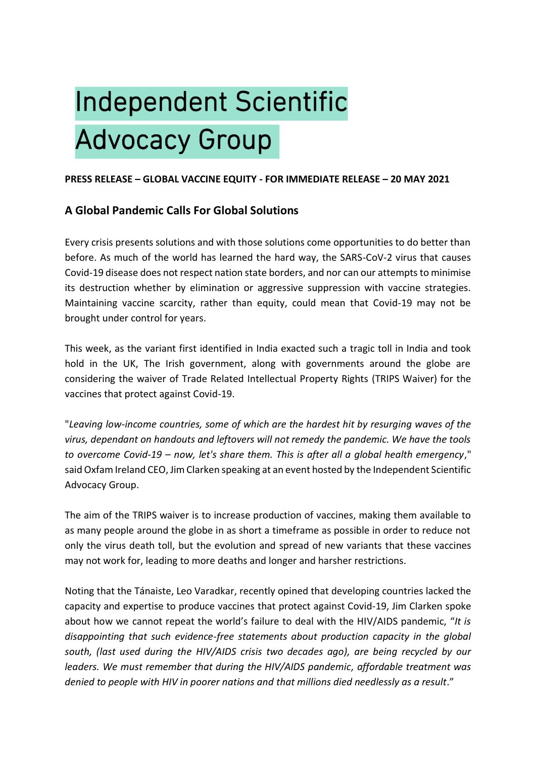# **Independent Scientific Advocacy Group**

## **PRESS RELEASE – GLOBAL VACCINE EQUITY - FOR IMMEDIATE RELEASE – 20 MAY 2021**

# **A Global Pandemic Calls For Global Solutions**

Every crisis presents solutions and with those solutions come opportunities to do better than before. As much of the world has learned the hard way, the SARS-CoV-2 virus that causes Covid-19 disease does not respect nation state borders, and nor can our attempts to minimise its destruction whether by elimination or aggressive suppression with vaccine strategies. Maintaining vaccine scarcity, rather than equity, could mean that Covid-19 may not be brought under control for years.

This week, as the variant first identified in India exacted such a tragic toll in India and took hold in the UK, The Irish government, along with governments around the globe are considering the waiver of Trade Related Intellectual Property Rights (TRIPS Waiver) for the vaccines that protect against Covid-19.

"*Leaving low-income countries, some of which are the hardest hit by resurging waves of the virus, dependant on handouts and leftovers will not remedy the pandemic. We have the tools to overcome Covid-19 – now, let's share them. This is after all a global health emergency*," said Oxfam Ireland CEO, Jim Clarken speaking at an event hosted by the Independent Scientific Advocacy Group.

The aim of the TRIPS waiver is to increase production of vaccines, making them available to as many people around the globe in as short a timeframe as possible in order to reduce not only the virus death toll, but the evolution and spread of new variants that these vaccines may not work for, leading to more deaths and longer and harsher restrictions.

Noting that the Tánaiste, Leo Varadkar, recently opined that developing countries lacked the capacity and expertise to produce vaccines that protect against Covid-19, Jim Clarken spoke about how we cannot repeat the world's failure to deal with the HIV/AIDS pandemic, "*It is disappointing that such evidence-free statements about production capacity in the global south, (last used during the HIV/AIDS crisis two decades ago), are being recycled by our leaders. We must remember that during the HIV/AIDS pandemic, affordable treatment was denied to people with HIV in poorer nations and that millions died needlessly as a result*."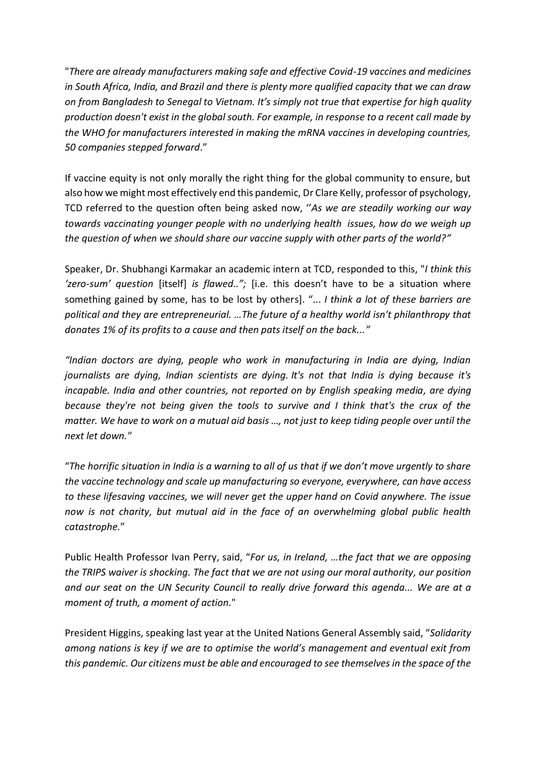"*There are already manufacturers making safe and effective Covid-19 vaccines and medicines in South Africa, India, and Brazil and there is plenty more qualified capacity that we can draw on from Bangladesh to Senegal to Vietnam. It's simply not true that expertise for high quality production doesn't exist in the global south. For example, in response to a recent call made by the WHO for manufacturers interested in making the mRNA vaccines in developing countries, 50 companies stepped forward*."

If vaccine equity is not only morally the right thing for the global community to ensure, but also how we might most effectively end this pandemic, Dr Clare Kelly, professor of psychology, TCD referred to the question often being asked now, ''*As we are steadily working our way towards vaccinating younger people with no underlying health issues, how do we weigh up the question of when we should share our vaccine supply with other parts of the world?"*

Speaker, Dr. Shubhangi Karmakar an academic intern at TCD, responded to this, "*I think this 'zero-sum' question* [itself] *is flawed..";* [i.e. this doesn't have to be a situation where something gained by some, has to be lost by others]. "... *I think a lot of these barriers are political and they are entrepreneurial. …The future of a healthy world isn't philanthropy that donates 1% of its profits to a cause and then pats itself on the back..."*

*"Indian doctors are dying, people who work in manufacturing in India are dying, Indian journalists are dying, Indian scientists are dying. It's not that India is dying because it's incapable. India and other countries, not reported on by English speaking media, are dying because they're not being given the tools to survive and I think that's the crux of the matter. We have to work on a mutual aid basis …, not just to keep tiding people over until the next let down."*

"*The horrific situation in India is a warning to all of us that if we don't move urgently to share the vaccine technology and scale up manufacturing so everyone, everywhere, can have access to these lifesaving vaccines, we will never get the upper hand on Covid anywhere. The issue now is not charity, but mutual aid in the face of an overwhelming global public health catastrophe.*"

Public Health Professor Ivan Perry, said, "*For us, in Ireland, …the fact that we are opposing the TRIPS waiver is shocking. The fact that we are not using our moral authority, our position and our seat on the UN Security Council to really drive forward this agenda... We are at a moment of truth, a moment of action.*"

President Higgins, speaking last year at the United Nations General Assembly said, "*Solidarity among nations is key if we are to optimise the world's management and eventual exit from this pandemic. Our citizens must be able and encouraged to see themselves in the space of the*